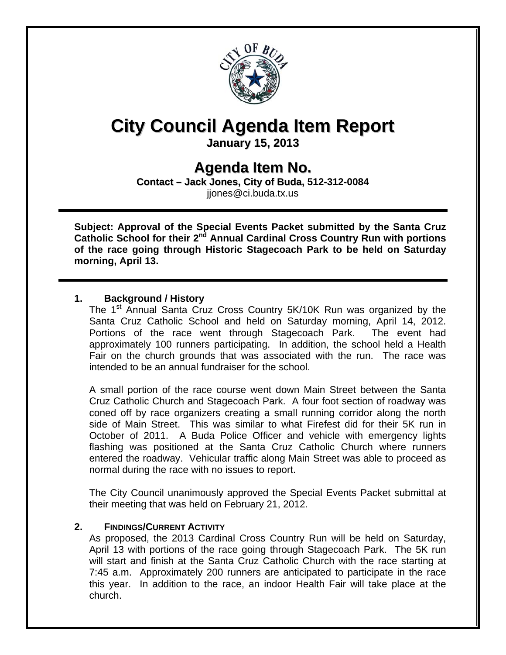

# **City Council Agenda Item Report**

**January 15, 2013**

# **Agenda Item No.**

**Contact – Jack Jones, City of Buda, 512-312-0084** jjones@ci.buda.tx.us

**Subject: Approval of the Special Events Packet submitted by the Santa Cruz**  Catholic School for their 2<sup>nd</sup> Annual Cardinal Cross Country Run with portions **of the race going through Historic Stagecoach Park to be held on Saturday morning, April 13.** 

## **1. Background / History**

The 1<sup>st</sup> Annual Santa Cruz Cross Country 5K/10K Run was organized by the Santa Cruz Catholic School and held on Saturday morning, April 14, 2012. Portions of the race went through Stagecoach Park. The event had approximately 100 runners participating. In addition, the school held a Health Fair on the church grounds that was associated with the run. The race was intended to be an annual fundraiser for the school.

A small portion of the race course went down Main Street between the Santa Cruz Catholic Church and Stagecoach Park. A four foot section of roadway was coned off by race organizers creating a small running corridor along the north side of Main Street. This was similar to what Firefest did for their 5K run in October of 2011. A Buda Police Officer and vehicle with emergency lights flashing was positioned at the Santa Cruz Catholic Church where runners entered the roadway. Vehicular traffic along Main Street was able to proceed as normal during the race with no issues to report.

The City Council unanimously approved the Special Events Packet submittal at their meeting that was held on February 21, 2012.

### **2. FINDINGS/CURRENT ACTIVITY**

As proposed, the 2013 Cardinal Cross Country Run will be held on Saturday, April 13 with portions of the race going through Stagecoach Park. The 5K run will start and finish at the Santa Cruz Catholic Church with the race starting at 7:45 a.m. Approximately 200 runners are anticipated to participate in the race this year. In addition to the race, an indoor Health Fair will take place at the church.